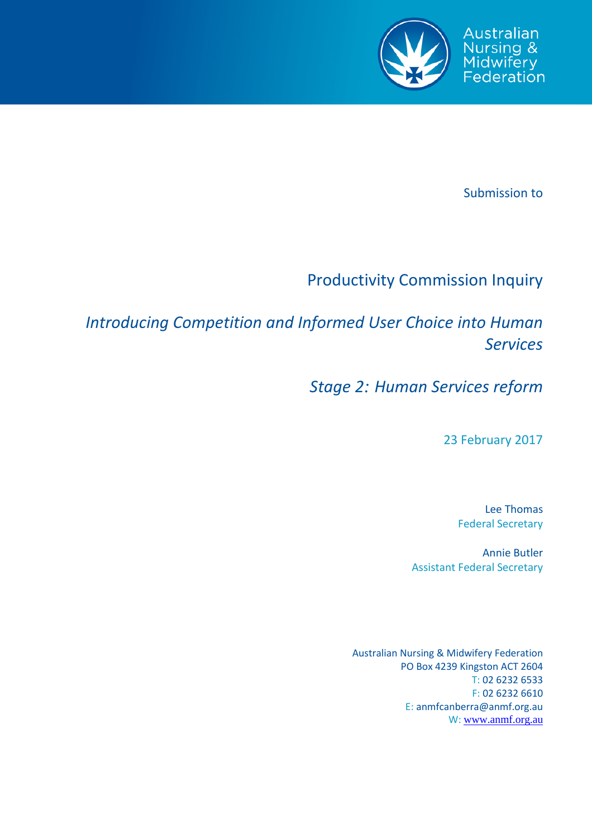

Submission to

# Productivity Commission Inquiry

*Introducing Competition and Informed User Choice into Human Services*

*Stage 2: Human Services reform*

23 February 2017

Lee Thomas Federal Secretary

Annie Butler Assistant Federal Secretary

Australian Nursing & Midwifery Federation PO Box 4239 Kingston ACT 2604 T: 02 6232 6533 F: 02 6232 6610 E: anmfcanberra@anmf.org.au W: [www.anmf.org.au](http://www.anmf.org.au/)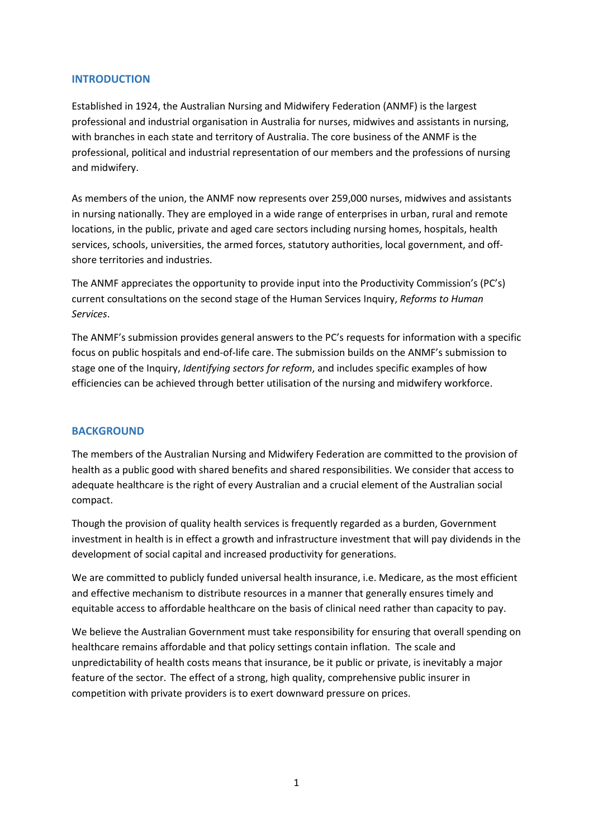## **INTRODUCTION**

Established in 1924, the Australian Nursing and Midwifery Federation (ANMF) is the largest professional and industrial organisation in Australia for nurses, midwives and assistants in nursing, with branches in each state and territory of Australia. The core business of the ANMF is the professional, political and industrial representation of our members and the professions of nursing and midwifery.

As members of the union, the ANMF now represents over 259,000 nurses, midwives and assistants in nursing nationally. They are employed in a wide range of enterprises in urban, rural and remote locations, in the public, private and aged care sectors including nursing homes, hospitals, health services, schools, universities, the armed forces, statutory authorities, local government, and offshore territories and industries.

The ANMF appreciates the opportunity to provide input into the Productivity Commission's (PC's) current consultations on the second stage of the Human Services Inquiry, *Reforms to Human Services*.

The ANMF's submission provides general answers to the PC's requests for information with a specific focus on public hospitals and end-of-life care. The submission builds on the ANMF's submission to stage one of the Inquiry, *Identifying sectors for reform*, and includes specific examples of how efficiencies can be achieved through better utilisation of the nursing and midwifery workforce.

# **BACKGROUND**

The members of the Australian Nursing and Midwifery Federation are committed to the provision of health as a public good with shared benefits and shared responsibilities. We consider that access to adequate healthcare is the right of every Australian and a crucial element of the Australian social compact.

Though the provision of quality health services is frequently regarded as a burden, Government investment in health is in effect a growth and infrastructure investment that will pay dividends in the development of social capital and increased productivity for generations.

We are committed to publicly funded universal health insurance, i.e. Medicare, as the most efficient and effective mechanism to distribute resources in a manner that generally ensures timely and equitable access to affordable healthcare on the basis of clinical need rather than capacity to pay.

We believe the Australian Government must take responsibility for ensuring that overall spending on healthcare remains affordable and that policy settings contain inflation. The scale and unpredictability of health costs means that insurance, be it public or private, is inevitably a major feature of the sector. The effect of a strong, high quality, comprehensive public insurer in competition with private providers is to exert downward pressure on prices.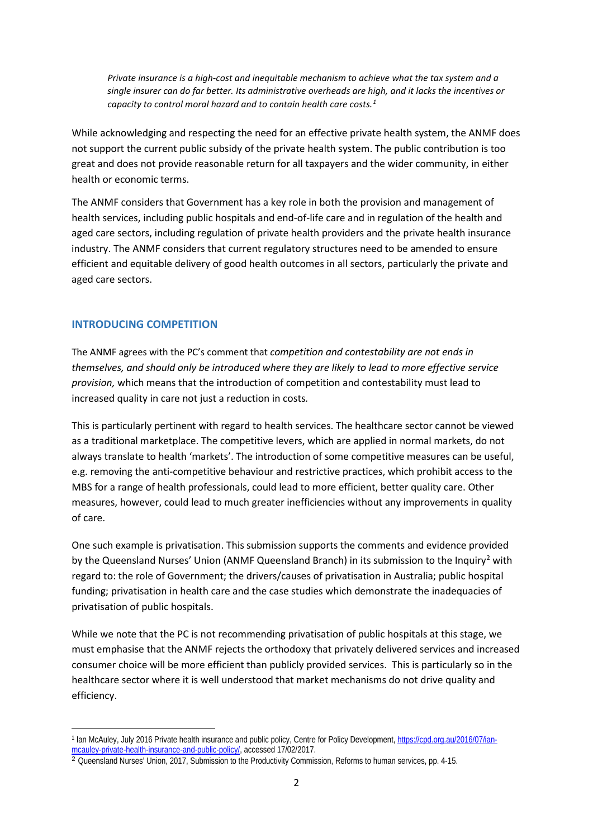*Private insurance is a high-cost and inequitable mechanism to achieve what the tax system and a single insurer can do far better. Its administrative overheads are high, and it lacks the incentives or capacity to control moral hazard and to contain health care costs.[1](#page-2-0)*

While acknowledging and respecting the need for an effective private health system, the ANMF does not support the current public subsidy of the private health system. The public contribution is too great and does not provide reasonable return for all taxpayers and the wider community, in either health or economic terms.

The ANMF considers that Government has a key role in both the provision and management of health services, including public hospitals and end-of-life care and in regulation of the health and aged care sectors, including regulation of private health providers and the private health insurance industry. The ANMF considers that current regulatory structures need to be amended to ensure efficient and equitable delivery of good health outcomes in all sectors, particularly the private and aged care sectors.

# **INTRODUCING COMPETITION**

**.** 

The ANMF agrees with the PC's comment that *competition and contestability are not ends in themselves, and should only be introduced where they are likely to lead to more effective service provision,* which means that the introduction of competition and contestability must lead to increased quality in care not just a reduction in costs*.* 

This is particularly pertinent with regard to health services. The healthcare sector cannot be viewed as a traditional marketplace. The competitive levers, which are applied in normal markets, do not always translate to health 'markets'. The introduction of some competitive measures can be useful, e.g. removing the anti-competitive behaviour and restrictive practices, which prohibit access to the MBS for a range of health professionals, could lead to more efficient, better quality care. Other measures, however, could lead to much greater inefficiencies without any improvements in quality of care.

One such example is privatisation. This submission supports the comments and evidence provided by the Queensland Nurses' Union (ANMF Queensland Branch) in its submission to the Inquiry<sup>[2](#page-2-1)</sup> with regard to: the role of Government; the drivers/causes of privatisation in Australia; public hospital funding; privatisation in health care and the case studies which demonstrate the inadequacies of privatisation of public hospitals.

While we note that the PC is not recommending privatisation of public hospitals at this stage, we must emphasise that the ANMF rejects the orthodoxy that privately delivered services and increased consumer choice will be more efficient than publicly provided services. This is particularly so in the healthcare sector where it is well understood that market mechanisms do not drive quality and efficiency.

<span id="page-2-0"></span><sup>1</sup> Ian McAuley, July 2016 Private health insurance and public policy, Centre for Policy Development[, https://cpd.org.au/2016/07/ian](https://cpd.org.au/2016/07/ian-mcauley-private-health-insurance-and-public-policy/)[mcauley-private-health-insurance-and-public-policy/,](https://cpd.org.au/2016/07/ian-mcauley-private-health-insurance-and-public-policy/) accessed 17/02/2017.

<span id="page-2-1"></span><sup>&</sup>lt;sup>2</sup> Queensland Nurses' Union, 2017, Submission to the Productivity Commission, Reforms to human services, pp. 4-15.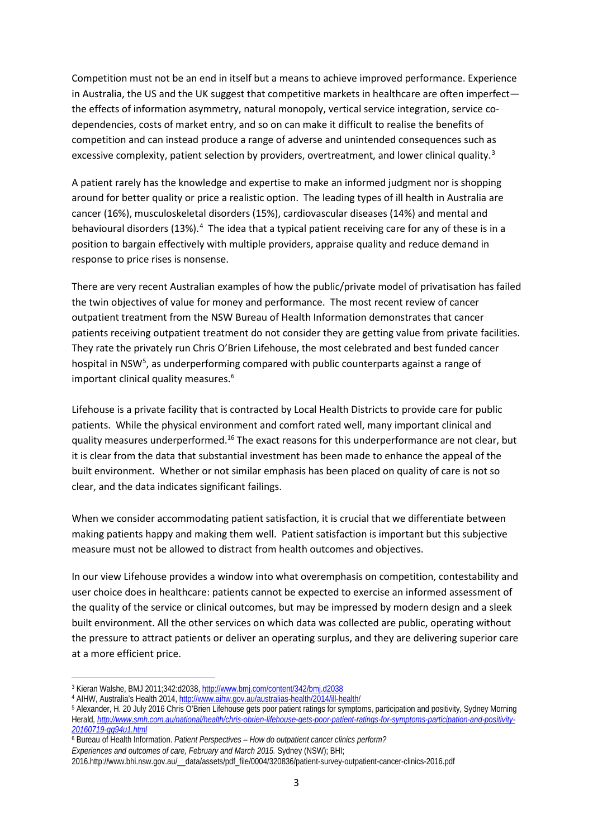Competition must not be an end in itself but a means to achieve improved performance. Experience in Australia, the US and the UK suggest that competitive markets in healthcare are often imperfect the effects of information asymmetry, natural monopoly, vertical service integration, service codependencies, costs of market entry, and so on can make it difficult to realise the benefits of competition and can instead produce a range of adverse and unintended consequences such as excessive complexity, patient selection by providers, overtreatment, and lower clinical quality.<sup>[3](#page-3-0)</sup>

A patient rarely has the knowledge and expertise to make an informed judgment nor is shopping around for better quality or price a realistic option. The leading types of ill health in Australia are cancer (16%), musculoskeletal disorders (15%), cardiovascular diseases (14%) and mental and behavioural disorders (13%).<sup>[4](#page-3-1)</sup> The idea that a typical patient receiving care for any of these is in a position to bargain effectively with multiple providers, appraise quality and reduce demand in response to price rises is nonsense.

There are very recent Australian examples of how the public/private model of privatisation has failed the twin objectives of value for money and performance. The most recent review of cancer outpatient treatment from the NSW Bureau of Health Information demonstrates that cancer patients receiving outpatient treatment do not consider they are getting value from private facilities. They rate the privately run Chris O'Brien Lifehouse, the most celebrated and best funded cancer hospital in NSW<sup>5</sup>, as underperforming compared with public counterparts against a range of important clinical quality measures. [6](#page-3-3)

Lifehouse is a private facility that is contracted by Local Health Districts to provide care for public patients. While the physical environment and comfort rated well, many important clinical and quality measures underperformed.<sup>16</sup> The exact reasons for this underperformance are not clear, but it is clear from the data that substantial investment has been made to enhance the appeal of the built environment. Whether or not similar emphasis has been placed on quality of care is not so clear, and the data indicates significant failings.

When we consider accommodating patient satisfaction, it is crucial that we differentiate between making patients happy and making them well. Patient satisfaction is important but this subjective measure must not be allowed to distract from health outcomes and objectives.

In our view Lifehouse provides a window into what overemphasis on competition, contestability and user choice does in healthcare: patients cannot be expected to exercise an informed assessment of the quality of the service or clinical outcomes, but may be impressed by modern design and a sleek built environment. All the other services on which data was collected are public, operating without the pressure to attract patients or deliver an operating surplus, and they are delivering superior care at a more efficient price.

 $\overline{a}$ 

*Experiences and outcomes of care, February and March 2015.* Sydney (NSW); BHI;

<span id="page-3-0"></span><sup>3</sup> Kieran Walshe, BMJ 2011;342:d2038[, http://www.bmj.com/content/342/bmj.d2038](http://www.bmj.com/content/342/bmj.d2038)

<span id="page-3-1"></span><sup>4</sup> AIHW, Australia's Health 2014[, http://www.aihw.gov.au/australias-health/2014/ill-health/](http://www.aihw.gov.au/australias-health/2014/ill-health/)

<span id="page-3-2"></span><sup>5</sup> Alexander, H. 20 July 2016 Chris O'Brien Lifehouse gets poor patient ratings for symptoms, participation and positivity, Sydney Morning Herald*, [http://www.smh.com.au/national/health/chris-obrien-lifehouse-gets-poor-patient-ratings-for-symptoms-participation-and-positivity-](http://www.smh.com.au/national/health/chris-obrien-lifehouse-gets-poor-patient-ratings-for-symptoms-participation-and-positivity-20160719-gq94u1.html)[20160719-gq94u1.html](http://www.smh.com.au/national/health/chris-obrien-lifehouse-gets-poor-patient-ratings-for-symptoms-participation-and-positivity-20160719-gq94u1.html)*

<span id="page-3-3"></span><sup>6</sup> Bureau of Health Information. *Patient Perspectives – How do outpatient cancer clinics perform?*

<sup>2016.</sup>http://www.bhi.nsw.gov.au/\_\_data/assets/pdf\_file/0004/320836/patient-survey-outpatient-cancer-clinics-2016.pdf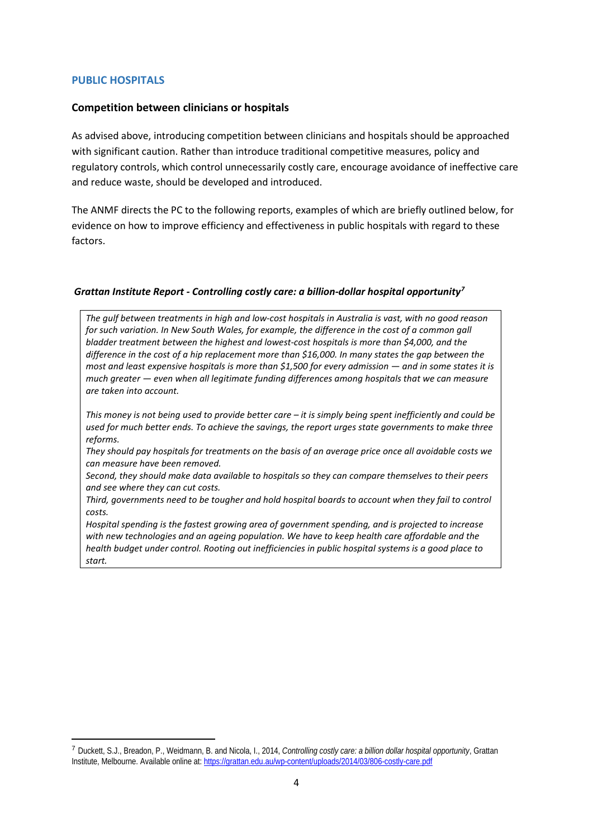## **PUBLIC HOSPITALS**

**.** 

## **Competition between clinicians or hospitals**

As advised above, introducing competition between clinicians and hospitals should be approached with significant caution. Rather than introduce traditional competitive measures, policy and regulatory controls, which control unnecessarily costly care, encourage avoidance of ineffective care and reduce waste, should be developed and introduced.

The ANMF directs the PC to the following reports, examples of which are briefly outlined below, for evidence on how to improve efficiency and effectiveness in public hospitals with regard to these factors.

#### *Grattan Institute Report - Controlling costly care: a billion-dollar hospital opportunity[7](#page-4-0)*

*The gulf between treatments in high and low-cost hospitals in Australia is vast, with no good reason*  for such variation. In New South Wales, for example, the difference in the cost of a common gall *bladder treatment between the highest and lowest-cost hospitals is more than \$4,000, and the difference in the cost of a hip replacement more than \$16,000. In many states the gap between the most and least expensive hospitals is more than \$1,500 for every admission — and in some states it is much greater — even when all legitimate funding differences among hospitals that we can measure are taken into account.*

*This money is not being used to provide better care – it is simply being spent inefficiently and could be used for much better ends. To achieve the savings, the report urges state governments to make three reforms.* 

*They should pay hospitals for treatments on the basis of an average price once all avoidable costs we can measure have been removed.*

*Second, they should make data available to hospitals so they can compare themselves to their peers and see where they can cut costs.* 

*Third, governments need to be tougher and hold hospital boards to account when they fail to control costs.*

*Hospital spending is the fastest growing area of government spending, and is projected to increase with new technologies and an ageing population. We have to keep health care affordable and the health budget under control. Rooting out inefficiencies in public hospital systems is a good place to start.*

<span id="page-4-0"></span><sup>7</sup> Duckett, S.J., Breadon, P., Weidmann, B. and Nicola, I., 2014, *Controlling costly care: a billion dollar hospital opportunity*, Grattan Institute, Melbourne. Available online at:<https://grattan.edu.au/wp-content/uploads/2014/03/806-costly-care.pdf>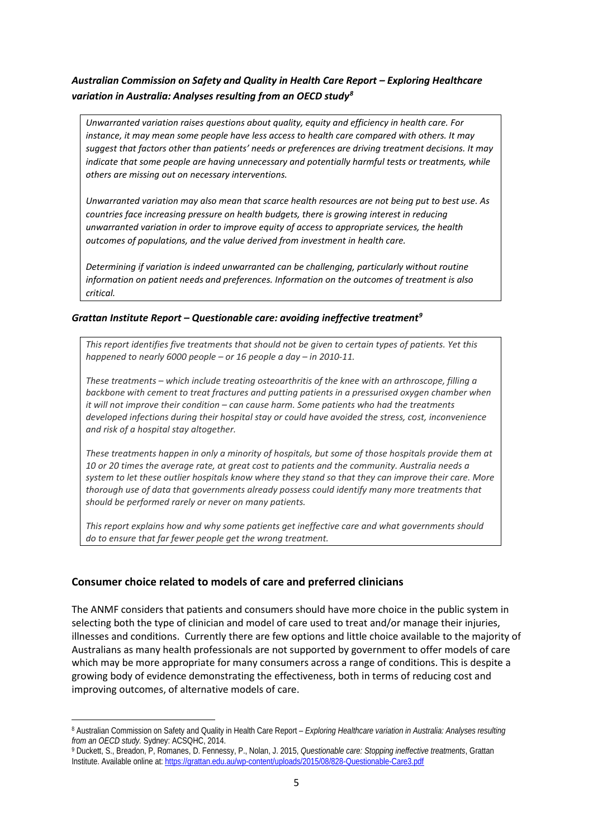# *Australian Commission on Safety and Quality in Health Care Report – Exploring Healthcare variation in Australia: Analyses resulting from an OECD study[8](#page-5-0)*

*Unwarranted variation raises questions about quality, equity and efficiency in health care. For instance, it may mean some people have less access to health care compared with others. It may suggest that factors other than patients' needs or preferences are driving treatment decisions. It may indicate that some people are having unnecessary and potentially harmful tests or treatments, while others are missing out on necessary interventions.*

*Unwarranted variation may also mean that scarce health resources are not being put to best use. As countries face increasing pressure on health budgets, there is growing interest in reducing unwarranted variation in order to improve equity of access to appropriate services, the health outcomes of populations, and the value derived from investment in health care.*

*Determining if variation is indeed unwarranted can be challenging, particularly without routine information on patient needs and preferences. Information on the outcomes of treatment is also critical.*

## *Grattan Institute Report – Questionable care: avoiding ineffective treatment[9](#page-5-1)*

*This report identifies five treatments that should not be given to certain types of patients. Yet this happened to nearly 6000 people – or 16 people a day – in 2010-11.*

*These treatments – which include treating osteoarthritis of the knee with an arthroscope, filling a backbone with cement to treat fractures and putting patients in a pressurised oxygen chamber when it will not improve their condition – can cause harm. Some patients who had the treatments developed infections during their hospital stay or could have avoided the stress, cost, inconvenience and risk of a hospital stay altogether.*

*These treatments happen in only a minority of hospitals, but some of those hospitals provide them at 10 or 20 times the average rate, at great cost to patients and the community. Australia needs a system to let these outlier hospitals know where they stand so that they can improve their care. More thorough use of data that governments already possess could identify many more treatments that should be performed rarely or never on many patients.*

*This report explains how and why some patients get ineffective care and what governments should do to ensure that far fewer people get the wrong treatment.*

## **Consumer choice related to models of care and preferred clinicians**

**.** 

The ANMF considers that patients and consumers should have more choice in the public system in selecting both the type of clinician and model of care used to treat and/or manage their injuries, illnesses and conditions. Currently there are few options and little choice available to the majority of Australians as many health professionals are not supported by government to offer models of care which may be more appropriate for many consumers across a range of conditions. This is despite a growing body of evidence demonstrating the effectiveness, both in terms of reducing cost and improving outcomes, of alternative models of care.

<span id="page-5-0"></span><sup>8</sup> Australian Commission on Safety and Quality in Health Care Report – *Exploring Healthcare variation in Australia: Analyses resulting from an OECD study.* Sydney: ACSQHC, 2014.

<span id="page-5-1"></span><sup>9</sup> Duckett, S., Breadon, P, Romanes, D. Fennessy, P., Nolan, J. 2015, *Questionable care: Stopping ineffective treatments*, Grattan Institute. Available online at:<https://grattan.edu.au/wp-content/uploads/2015/08/828-Questionable-Care3.pdf>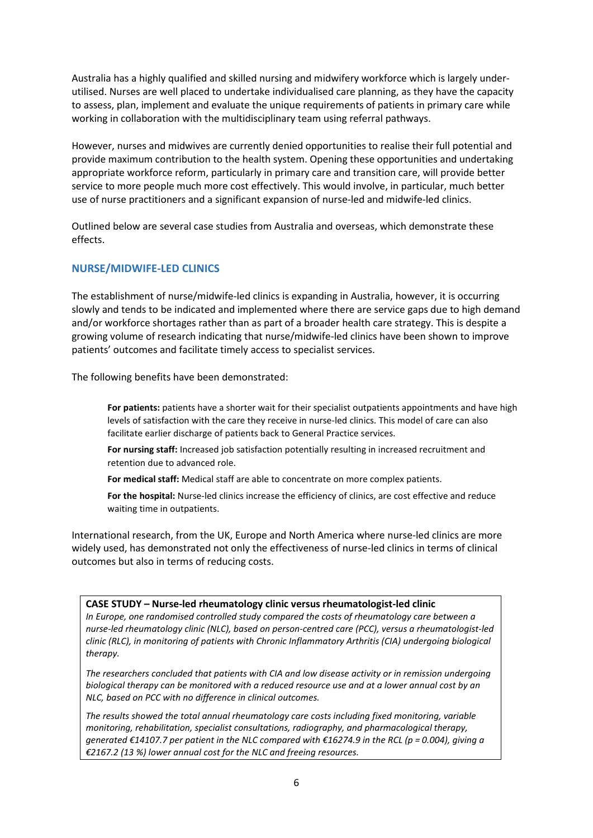Australia has a highly qualified and skilled nursing and midwifery workforce which is largely underutilised. Nurses are well placed to undertake individualised care planning, as they have the capacity to assess, plan, implement and evaluate the unique requirements of patients in primary care while working in collaboration with the multidisciplinary team using referral pathways.

However, nurses and midwives are currently denied opportunities to realise their full potential and provide maximum contribution to the health system. Opening these opportunities and undertaking appropriate workforce reform, particularly in primary care and transition care, will provide better service to more people much more cost effectively. This would involve, in particular, much better use of nurse practitioners and a significant expansion of nurse-led and midwife-led clinics.

Outlined below are several case studies from Australia and overseas, which demonstrate these effects.

# **NURSE/MIDWIFE-LED CLINICS**

The establishment of nurse/midwife-led clinics is expanding in Australia, however, it is occurring slowly and tends to be indicated and implemented where there are service gaps due to high demand and/or workforce shortages rather than as part of a broader health care strategy. This is despite a growing volume of research indicating that nurse/midwife-led clinics have been shown to improve patients' outcomes and facilitate timely access to specialist services.

The following benefits have been demonstrated:

**For patients:** patients have a shorter wait for their specialist outpatients appointments and have high levels of satisfaction with the care they receive in nurse-led clinics. This model of care can also facilitate earlier discharge of patients back to General Practice services.

**For nursing staff:** Increased job satisfaction potentially resulting in increased recruitment and retention due to advanced role.

**For medical staff:** Medical staff are able to concentrate on more complex patients.

**For the hospital:** Nurse-led clinics increase the efficiency of clinics, are cost effective and reduce waiting time in outpatients.

International research, from the UK, Europe and North America where nurse-led clinics are more widely used, has demonstrated not only the effectiveness of nurse-led clinics in terms of clinical outcomes but also in terms of reducing costs.

## **CASE STUDY – Nurse-led rheumatology clinic versus rheumatologist-led clinic**

*In Europe, one randomised controlled study compared the costs of rheumatology care between a nurse-led rheumatology clinic (NLC), based on person-centred care (PCC), versus a rheumatologist-led clinic (RLC), in monitoring of patients with Chronic Inflammatory Arthritis (CIA) undergoing biological therapy.*

*The researchers concluded that patients with CIA and low disease activity or in remission undergoing biological therapy can be monitored with a reduced resource use and at a lower annual cost by an NLC, based on PCC with no difference in clinical outcomes.*

*The results showed the total annual rheumatology care costs including fixed monitoring, variable monitoring, rehabilitation, specialist consultations, radiography, and pharmacological therapy, generated €14107.7 per patient in the NLC compared with €16274.9 in the RCL (p = 0.004), giving a €2167.2 (13 %) lower annual cost for the NLC and freeing resources.*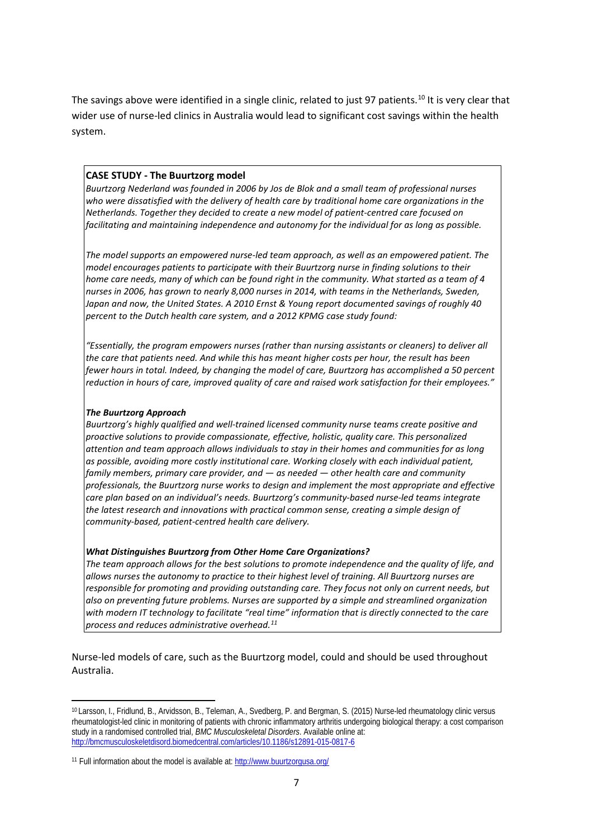The savings above were identified in a single clinic, related to just 97 patients.<sup>[10](#page-7-0)</sup> It is very clear that wider use of nurse-led clinics in Australia would lead to significant cost savings within the health system.

## **CASE STUDY - The Buurtzorg model**

*Buurtzorg Nederland was founded in 2006 by Jos de Blok and a small team of professional nurses who were dissatisfied with the delivery of health care by traditional home care organizations in the Netherlands. Together they decided to create a new model of patient-centred care focused on facilitating and maintaining independence and autonomy for the individual for as long as possible.*

*The model supports an empowered nurse-led team approach, as well as an empowered patient. The model encourages patients to participate with their Buurtzorg nurse in finding solutions to their home care needs, many of which can be found right in the community. What started as a team of 4 nurses in 2006, has grown to nearly 8,000 nurses in 2014, with teams in the Netherlands, Sweden, Japan and now, the United States. A 2010 Ernst & Young report documented savings of roughly 40 percent to the Dutch health care system, and a 2012 KPMG case study found:*

*"Essentially, the program empowers nurses (rather than nursing assistants or cleaners) to deliver all the care that patients need. And while this has meant higher costs per hour, the result has been fewer hours in total. Indeed, by changing the model of care, Buurtzorg has accomplished a 50 percent reduction in hours of care, improved quality of care and raised work satisfaction for their employees."*

## *The Buurtzorg Approach*

*Buurtzorg's highly qualified and well-trained licensed community nurse teams create positive and proactive solutions to provide compassionate, effective, holistic, quality care. This personalized attention and team approach allows individuals to stay in their homes and communities for as long as possible, avoiding more costly institutional care. Working closely with each individual patient, family members, primary care provider, and — as needed — other health care and community professionals, the Buurtzorg nurse works to design and implement the most appropriate and effective care plan based on an individual's needs. Buurtzorg's community-based nurse-led teams integrate the latest research and innovations with practical common sense, creating a simple design of community-based, patient-centred health care delivery.*

#### *What Distinguishes Buurtzorg from Other Home Care Organizations?*

*The team approach allows for the best solutions to promote independence and the quality of life, and allows nurses the autonomy to practice to their highest level of training. All Buurtzorg nurses are responsible for promoting and providing outstanding care. They focus not only on current needs, but also on preventing future problems. Nurses are supported by a simple and streamlined organization with modern IT technology to facilitate "real time" information that is directly connected to the care process and reduces administrative overhead.[11](#page-7-1)*

Nurse-led models of care, such as the Buurtzorg model, could and should be used throughout Australia.

<span id="page-7-0"></span> $\overline{a}$ <sup>10</sup> Larsson, I., Fridlund, B., Arvidsson, B., Teleman, A., Svedberg, P. and Bergman, S. (2015) Nurse-led rheumatology clinic versus rheumatologist-led clinic in monitoring of patients with chronic inflammatory arthritis undergoing biological therapy: a cost comparison study in a randomised controlled trial, *BMC Musculoskeletal Disorders*. Available online at: <http://bmcmusculoskeletdisord.biomedcentral.com/articles/10.1186/s12891-015-0817-6>

<span id="page-7-1"></span><sup>11</sup> Full information about the model is available at:<http://www.buurtzorgusa.org/>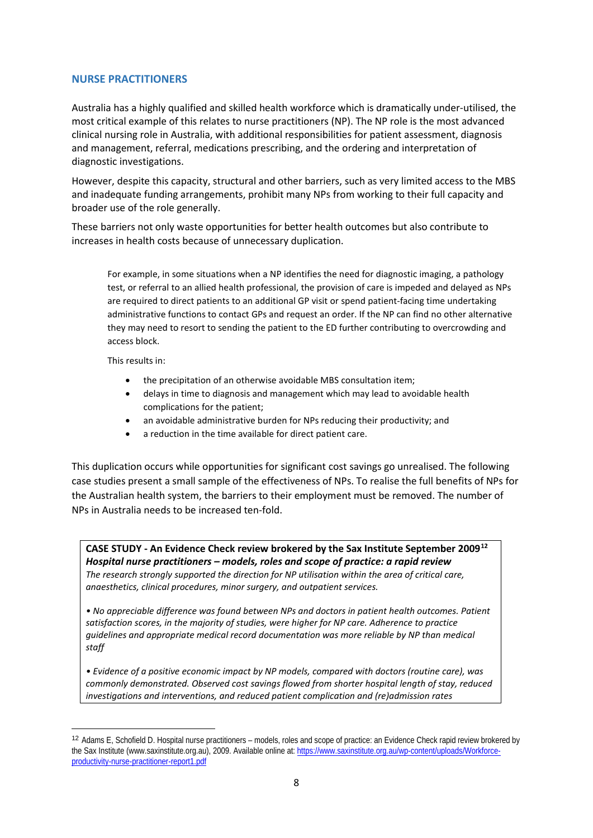## **NURSE PRACTITIONERS**

Australia has a highly qualified and skilled health workforce which is dramatically under-utilised, the most critical example of this relates to nurse practitioners (NP). The NP role is the most advanced clinical nursing role in Australia, with additional responsibilities for patient assessment, diagnosis and management, referral, medications prescribing, and the ordering and interpretation of diagnostic investigations.

However, despite this capacity, structural and other barriers, such as very limited access to the MBS and inadequate funding arrangements, prohibit many NPs from working to their full capacity and broader use of the role generally.

These barriers not only waste opportunities for better health outcomes but also contribute to increases in health costs because of unnecessary duplication.

For example, in some situations when a NP identifies the need for diagnostic imaging, a pathology test, or referral to an allied health professional, the provision of care is impeded and delayed as NPs are required to direct patients to an additional GP visit or spend patient-facing time undertaking administrative functions to contact GPs and request an order. If the NP can find no other alternative they may need to resort to sending the patient to the ED further contributing to overcrowding and access block.

This results in:

**.** 

- the precipitation of an otherwise avoidable MBS consultation item;
- delays in time to diagnosis and management which may lead to avoidable health complications for the patient;
- an avoidable administrative burden for NPs reducing their productivity; and
- a reduction in the time available for direct patient care.

This duplication occurs while opportunities for significant cost savings go unrealised. The following case studies present a small sample of the effectiveness of NPs. To realise the full benefits of NPs for the Australian health system, the barriers to their employment must be removed. The number of NPs in Australia needs to be increased ten-fold.

**CASE STUDY - An Evidence Check review brokered by the Sax Institute September 2009[12](#page-8-0)** *Hospital nurse practitioners – models, roles and scope of practice: a rapid review The research strongly supported the direction for NP utilisation within the area of critical care, anaesthetics, clinical procedures, minor surgery, and outpatient services.*

*• No appreciable difference was found between NPs and doctors in patient health outcomes. Patient satisfaction scores, in the majority of studies, were higher for NP care. Adherence to practice guidelines and appropriate medical record documentation was more reliable by NP than medical staff* 

*• Evidence of a positive economic impact by NP models, compared with doctors (routine care), was commonly demonstrated. Observed cost savings flowed from shorter hospital length of stay, reduced investigations and interventions, and reduced patient complication and (re)admission rates*

<span id="page-8-0"></span><sup>12</sup> Adams E, Schofield D. Hospital nurse practitioners – models, roles and scope of practice: an Evidence Check rapid review brokered by the Sax Institute (www.saxinstitute.org.au), 2009. Available online at[: https://www.saxinstitute.org.au/wp-content/uploads/Workforce](https://www.saxinstitute.org.au/wp-content/uploads/Workforce-productivity-nurse-practitioner-report1.pdf)[productivity-nurse-practitioner-report1.pdf](https://www.saxinstitute.org.au/wp-content/uploads/Workforce-productivity-nurse-practitioner-report1.pdf)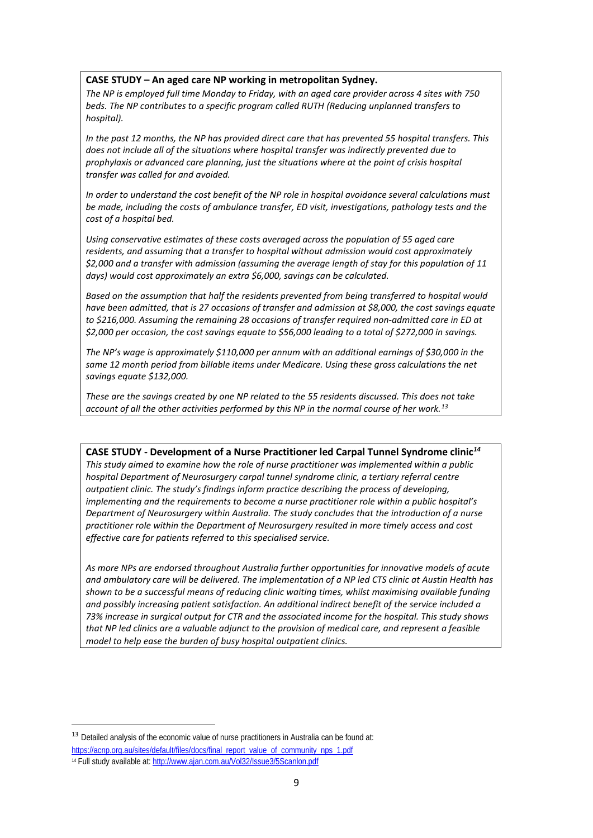#### **CASE STUDY – An aged care NP working in metropolitan Sydney.**

*The NP is employed full time Monday to Friday, with an aged care provider across 4 sites with 750 beds. The NP contributes to a specific program called RUTH (Reducing unplanned transfers to hospital).*

*In the past 12 months, the NP has provided direct care that has prevented 55 hospital transfers. This does not include all of the situations where hospital transfer was indirectly prevented due to prophylaxis or advanced care planning, just the situations where at the point of crisis hospital transfer was called for and avoided.*

*In order to understand the cost benefit of the NP role in hospital avoidance several calculations must be made, including the costs of ambulance transfer, ED visit, investigations, pathology tests and the cost of a hospital bed.* 

*Using conservative estimates of these costs averaged across the population of 55 aged care residents, and assuming that a transfer to hospital without admission would cost approximately \$2,000 and a transfer with admission (assuming the average length of stay for this population of 11 days) would cost approximately an extra \$6,000, savings can be calculated.* 

*Based on the assumption that half the residents prevented from being transferred to hospital would have been admitted, that is 27 occasions of transfer and admission at \$8,000, the cost savings equate to \$216,000. Assuming the remaining 28 occasions of transfer required non-admitted care in ED at \$2,000 per occasion, the cost savings equate to \$56,000 leading to a total of \$272,000 in savings.*

*The NP's wage is approximately \$110,000 per annum with an additional earnings of \$30,000 in the same 12 month period from billable items under Medicare. Using these gross calculations the net savings equate \$132,000.* 

*These are the savings created by one NP related to the 55 residents discussed. This does not take account of all the other activities performed by this NP in the normal course of her work.[13](#page-9-0)*

**CASE STUDY - Development of a Nurse Practitioner led Carpal Tunnel Syndrome clinic***[14](#page-9-1) This study aimed to examine how the role of nurse practitioner was implemented within a public hospital Department of Neurosurgery carpal tunnel syndrome clinic, a tertiary referral centre outpatient clinic. The study's findings inform practice describing the process of developing, implementing and the requirements to become a nurse practitioner role within a public hospital's Department of Neurosurgery within Australia. The study concludes that the introduction of a nurse practitioner role within the Department of Neurosurgery resulted in more timely access and cost effective care for patients referred to this specialised service.* 

*As more NPs are endorsed throughout Australia further opportunities for innovative models of acute and ambulatory care will be delivered. The implementation of a NP led CTS clinic at Austin Health has shown to be a successful means of reducing clinic waiting times, whilst maximising available funding and possibly increasing patient satisfaction. An additional indirect benefit of the service included a 73% increase in surgical output for CTR and the associated income for the hospital. This study shows that NP led clinics are a valuable adjunct to the provision of medical care, and represent a feasible model to help ease the burden of busy hospital outpatient clinics.*

<span id="page-9-1"></span><span id="page-9-0"></span><sup>&</sup>lt;sup>13</sup> Detailed analysis of the economic value of nurse practitioners in Australia can be found at: [https://acnp.org.au/sites/default/files/docs/final\\_report\\_value\\_of\\_community\\_nps\\_1.pdf](https://acnp.org.au/sites/default/files/docs/final_report_value_of_community_nps_1.pdf) <sup>14</sup> Full study available at[: http://www.ajan.com.au/Vol32/Issue3/5Scanlon.pdf](http://www.ajan.com.au/Vol32/Issue3/5Scanlon.pdf)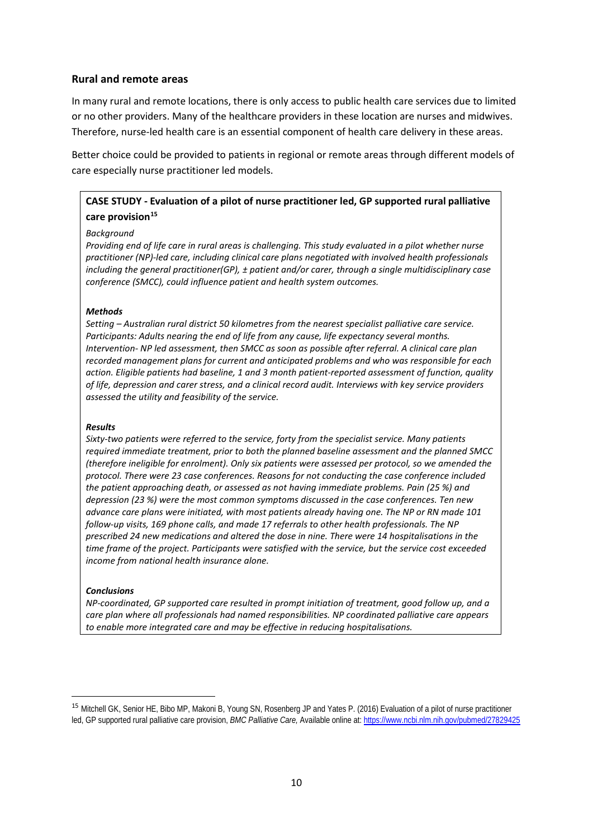## **Rural and remote areas**

In many rural and remote locations, there is only access to public health care services due to limited or no other providers. Many of the healthcare providers in these location are nurses and midwives. Therefore, nurse-led health care is an essential component of health care delivery in these areas.

Better choice could be provided to patients in regional or remote areas through different models of care especially nurse practitioner led models.

# **CASE STUDY - Evaluation of a pilot of nurse practitioner led, GP supported rural palliative care provision[15](#page-10-0)**

#### *Background*

*Providing end of life care in rural areas is challenging. This study evaluated in a pilot whether nurse practitioner (NP)-led care, including clinical care plans negotiated with involved health professionals including the general practitioner(GP), ± patient and/or carer, through a single multidisciplinary case conference (SMCC), could influence patient and health system outcomes.*

#### *Methods*

*Setting – Australian rural district 50 kilometres from the nearest specialist palliative care service. Participants: Adults nearing the end of life from any cause, life expectancy several months. Intervention- NP led assessment, then SMCC as soon as possible after referral. A clinical care plan recorded management plans for current and anticipated problems and who was responsible for each action. Eligible patients had baseline, 1 and 3 month patient-reported assessment of function, quality of life, depression and carer stress, and a clinical record audit. Interviews with key service providers assessed the utility and feasibility of the service.*

#### *Results*

*Sixty-two patients were referred to the service, forty from the specialist service. Many patients required immediate treatment, prior to both the planned baseline assessment and the planned SMCC (therefore ineligible for enrolment). Only six patients were assessed per protocol, so we amended the protocol. There were 23 case conferences. Reasons for not conducting the case conference included the patient approaching death, or assessed as not having immediate problems. Pain (25 %) and depression (23 %) were the most common symptoms discussed in the case conferences. Ten new advance care plans were initiated, with most patients already having one. The NP or RN made 101 follow-up visits, 169 phone calls, and made 17 referrals to other health professionals. The NP prescribed 24 new medications and altered the dose in nine. There were 14 hospitalisations in the time frame of the project. Participants were satisfied with the service, but the service cost exceeded income from national health insurance alone.*

#### *Conclusions*

*NP-coordinated, GP supported care resulted in prompt initiation of treatment, good follow up, and a care plan where all professionals had named responsibilities. NP coordinated palliative care appears to enable more integrated care and may be effective in reducing hospitalisations.*

<span id="page-10-0"></span> <sup>15</sup> [Mitchell GK,](https://www.ncbi.nlm.nih.gov/pubmed/?term=Mitchell%20GK%5BAuthor%5D&cauthor=true&cauthor_uid=27829425) [Senior HE,](https://www.ncbi.nlm.nih.gov/pubmed/?term=Senior%20HE%5BAuthor%5D&cauthor=true&cauthor_uid=27829425) [Bibo MP,](https://www.ncbi.nlm.nih.gov/pubmed/?term=Bibo%20MP%5BAuthor%5D&cauthor=true&cauthor_uid=27829425) [Makoni B,](https://www.ncbi.nlm.nih.gov/pubmed/?term=Makoni%20B%5BAuthor%5D&cauthor=true&cauthor_uid=27829425) [Young SN,](https://www.ncbi.nlm.nih.gov/pubmed/?term=Young%20SN%5BAuthor%5D&cauthor=true&cauthor_uid=27829425) [Rosenberg JP](https://www.ncbi.nlm.nih.gov/pubmed/?term=Rosenberg%20JP%5BAuthor%5D&cauthor=true&cauthor_uid=27829425) and [Yates P.](https://www.ncbi.nlm.nih.gov/pubmed/?term=Yates%20P%5BAuthor%5D&cauthor=true&cauthor_uid=27829425) (2016) Evaluation of a pilot of nurse practitioner led, GP supported rural palliative care provision, *BMC Palliative Care,* Available online at[: https://www.ncbi.nlm.nih.gov/pubmed/27829425](https://www.ncbi.nlm.nih.gov/pubmed/27829425)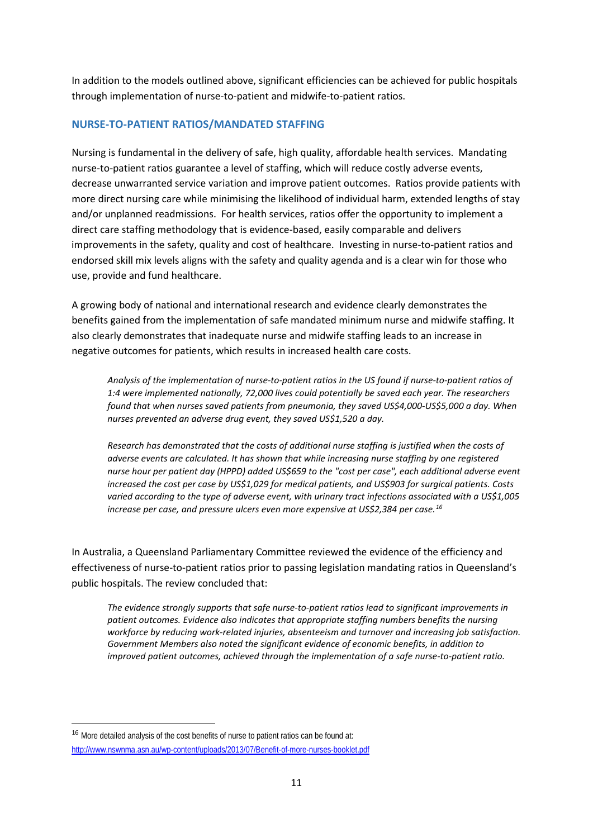In addition to the models outlined above, significant efficiencies can be achieved for public hospitals through implementation of nurse-to-patient and midwife-to-patient ratios.

# **NURSE-TO-PATIENT RATIOS/MANDATED STAFFING**

Nursing is fundamental in the delivery of safe, high quality, affordable health services. Mandating nurse-to-patient ratios guarantee a level of staffing, which will reduce costly adverse events, decrease unwarranted service variation and improve patient outcomes. Ratios provide patients with more direct nursing care while minimising the likelihood of individual harm, extended lengths of stay and/or unplanned readmissions. For health services, ratios offer the opportunity to implement a direct care staffing methodology that is evidence-based, easily comparable and delivers improvements in the safety, quality and cost of healthcare. Investing in nurse-to-patient ratios and endorsed skill mix levels aligns with the safety and quality agenda and is a clear win for those who use, provide and fund healthcare.

A growing body of national and international research and evidence clearly demonstrates the benefits gained from the implementation of safe mandated minimum nurse and midwife staffing. It also clearly demonstrates that inadequate nurse and midwife staffing leads to an increase in negative outcomes for patients, which results in increased health care costs.

*Analysis of the implementation of nurse-to-patient ratios in the US found if nurse-to-patient ratios of 1:4 were implemented nationally, 72,000 lives could potentially be saved each year. The researchers found that when nurses saved patients from pneumonia, they saved US\$4,000-US\$5,000 a day. When nurses prevented an adverse drug event, they saved US\$1,520 a day.* 

*Research has demonstrated that the costs of additional nurse staffing is justified when the costs of adverse events are calculated. It has shown that while increasing nurse staffing by one registered nurse hour per patient day (HPPD) added US\$659 to the "cost per case", each additional adverse event increased the cost per case by US\$1,029 for medical patients, and US\$903 for surgical patients. Costs varied according to the type of adverse event, with urinary tract infections associated with a US\$1,005 increase per case, and pressure ulcers even more expensive at US\$2,384 per case.[16](#page-11-0)*

In Australia, a Queensland Parliamentary Committee reviewed the evidence of the efficiency and effectiveness of nurse-to-patient ratios prior to passing legislation mandating ratios in Queensland's public hospitals. The review concluded that:

*The evidence strongly supports that safe nurse-to-patient ratios lead to significant improvements in patient outcomes. Evidence also indicates that appropriate staffing numbers benefits the nursing workforce by reducing work-related injuries, absenteeism and turnover and increasing job satisfaction. Government Members also noted the significant evidence of economic benefits, in addition to improved patient outcomes, achieved through the implementation of a safe nurse-to-patient ratio.*

<span id="page-11-0"></span> <sup>16</sup> More detailed analysis of the cost benefits of nurse to patient ratios can be found at:

<http://www.nswnma.asn.au/wp-content/uploads/2013/07/Benefit-of-more-nurses-booklet.pdf>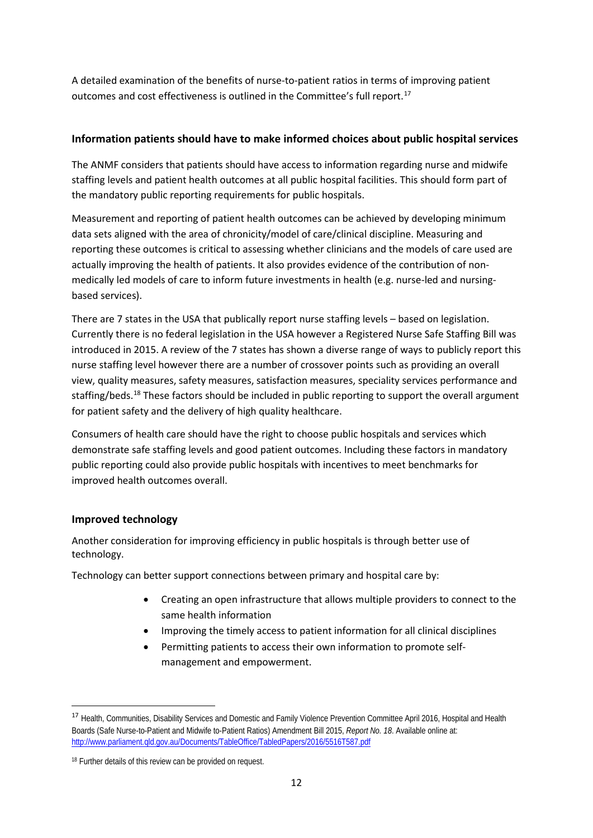A detailed examination of the benefits of nurse-to-patient ratios in terms of improving patient outcomes and cost effectiveness is outlined in the Committee's full report.<sup>[17](#page-12-0)</sup>

# **Information patients should have to make informed choices about public hospital services**

The ANMF considers that patients should have access to information regarding nurse and midwife staffing levels and patient health outcomes at all public hospital facilities. This should form part of the mandatory public reporting requirements for public hospitals.

Measurement and reporting of patient health outcomes can be achieved by developing minimum data sets aligned with the area of chronicity/model of care/clinical discipline. Measuring and reporting these outcomes is critical to assessing whether clinicians and the models of care used are actually improving the health of patients. It also provides evidence of the contribution of nonmedically led models of care to inform future investments in health (e.g. nurse-led and nursingbased services).

There are 7 states in the USA that publically report nurse staffing levels – based on legislation. Currently there is no federal legislation in the USA however a Registered Nurse Safe Staffing Bill was introduced in 2015. A review of the 7 states has shown a diverse range of ways to publicly report this nurse staffing level however there are a number of crossover points such as providing an overall view, quality measures, safety measures, satisfaction measures, speciality services performance and staffing/beds.<sup>[18](#page-12-1)</sup> These factors should be included in public reporting to support the overall argument for patient safety and the delivery of high quality healthcare.

Consumers of health care should have the right to choose public hospitals and services which demonstrate safe staffing levels and good patient outcomes. Including these factors in mandatory public reporting could also provide public hospitals with incentives to meet benchmarks for improved health outcomes overall.

# **Improved technology**

Another consideration for improving efficiency in public hospitals is through better use of technology.

Technology can better support connections between primary and hospital care by:

- Creating an open infrastructure that allows multiple providers to connect to the same health information
- Improving the timely access to patient information for all clinical disciplines
- Permitting patients to access their own information to promote selfmanagement and empowerment.

<span id="page-12-0"></span><sup>&</sup>lt;sup>17</sup> Health, Communities, Disability Services and Domestic and Family Violence Prevention Committee April 2016, Hospital and Health Boards (Safe Nurse-to-Patient and Midwife to-Patient Ratios) Amendment Bill 2015, *Report No. 18*. Available online at: <http://www.parliament.qld.gov.au/Documents/TableOffice/TabledPapers/2016/5516T587.pdf>

<span id="page-12-1"></span><sup>&</sup>lt;sup>18</sup> Further details of this review can be provided on request.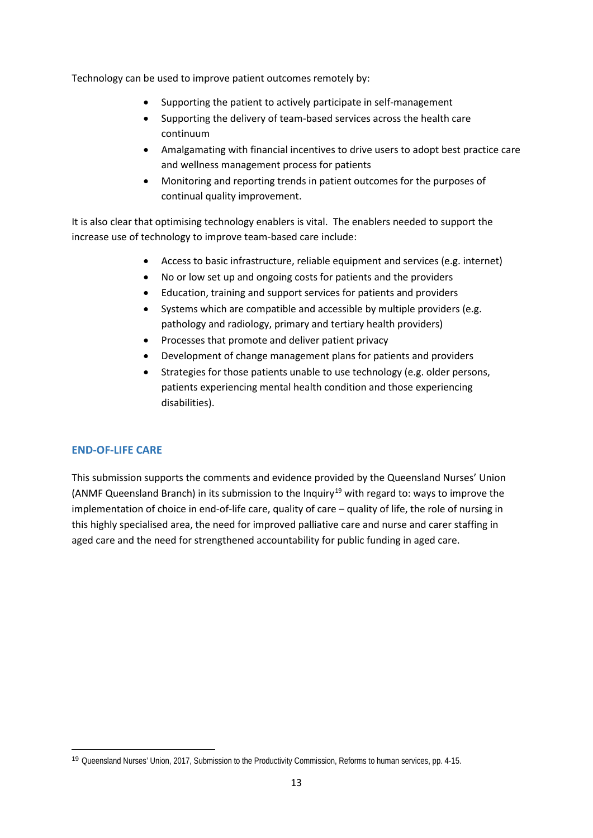Technology can be used to improve patient outcomes remotely by:

- Supporting the patient to actively participate in self-management
- Supporting the delivery of team-based services across the health care continuum
- Amalgamating with financial incentives to drive users to adopt best practice care and wellness management process for patients
- Monitoring and reporting trends in patient outcomes for the purposes of continual quality improvement.

It is also clear that optimising technology enablers is vital. The enablers needed to support the increase use of technology to improve team-based care include:

- Access to basic infrastructure, reliable equipment and services (e.g. internet)
- No or low set up and ongoing costs for patients and the providers
- Education, training and support services for patients and providers
- Systems which are compatible and accessible by multiple providers (e.g. pathology and radiology, primary and tertiary health providers)
- Processes that promote and deliver patient privacy
- Development of change management plans for patients and providers
- Strategies for those patients unable to use technology (e.g. older persons, patients experiencing mental health condition and those experiencing disabilities).

# **END-OF-LIFE CARE**

1

This submission supports the comments and evidence provided by the Queensland Nurses' Union (ANMF Queensland Branch) in its submission to the Inquiry<sup>[19](#page-13-0)</sup> with regard to: ways to improve the implementation of choice in end-of-life care, quality of care – quality of life, the role of nursing in this highly specialised area, the need for improved palliative care and nurse and carer staffing in aged care and the need for strengthened accountability for public funding in aged care.

<span id="page-13-0"></span><sup>19</sup> Queensland Nurses' Union, 2017, Submission to the Productivity Commission, Reforms to human services, pp. 4-15.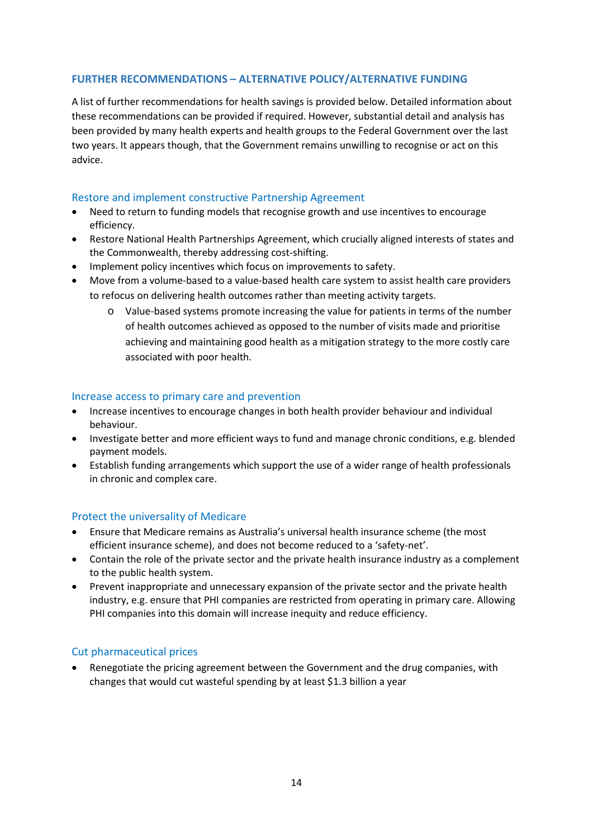# **FURTHER RECOMMENDATIONS – ALTERNATIVE POLICY/ALTERNATIVE FUNDING**

A list of further recommendations for health savings is provided below. Detailed information about these recommendations can be provided if required. However, substantial detail and analysis has been provided by many health experts and health groups to the Federal Government over the last two years. It appears though, that the Government remains unwilling to recognise or act on this advice.

## Restore and implement constructive Partnership Agreement

- Need to return to funding models that recognise growth and use incentives to encourage efficiency.
- Restore National Health Partnerships Agreement, which crucially aligned interests of states and the Commonwealth, thereby addressing cost-shifting.
- Implement policy incentives which focus on improvements to safety.
- Move from a volume-based to a value-based health care system to assist health care providers to refocus on delivering health outcomes rather than meeting activity targets.
	- o Value-based systems promote increasing the value for patients in terms of the number of health outcomes achieved as opposed to the number of visits made and prioritise achieving and maintaining good health as a mitigation strategy to the more costly care associated with poor health.

## Increase access to primary care and prevention

- Increase incentives to encourage changes in both health provider behaviour and individual behaviour.
- Investigate better and more efficient ways to fund and manage chronic conditions, e.g. blended payment models.
- Establish funding arrangements which support the use of a wider range of health professionals in chronic and complex care.

# Protect the universality of Medicare

- Ensure that Medicare remains as Australia's universal health insurance scheme (the most efficient insurance scheme), and does not become reduced to a 'safety-net'.
- Contain the role of the private sector and the private health insurance industry as a complement to the public health system.
- Prevent inappropriate and unnecessary expansion of the private sector and the private health industry, e.g. ensure that PHI companies are restricted from operating in primary care. Allowing PHI companies into this domain will increase inequity and reduce efficiency.

# Cut pharmaceutical prices

• Renegotiate the pricing agreement between the Government and the drug companies, with changes that would cut wasteful spending by at least \$1.3 billion a year